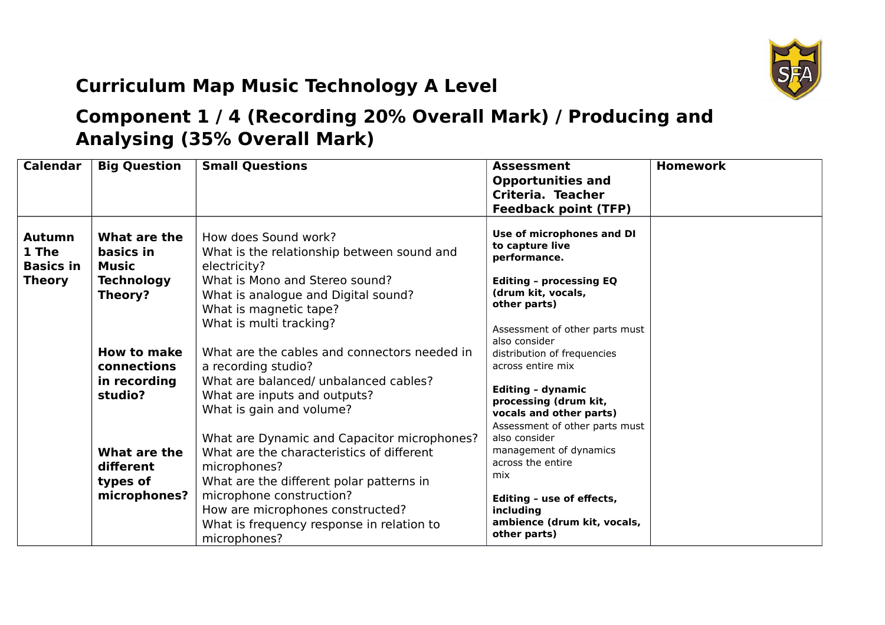

## **Curriculum Map Music Technology A Level**

## **Component 1 / 4 (Recording 20% Overall Mark) / Producing and Analysing (35% Overall Mark)**

| <b>Calendar</b>                                             | <b>Big Question</b>                                                | <b>Small Questions</b>                                                                                                                                                                                                                                                            | <b>Assessment</b><br><b>Opportunities and</b><br>Criteria. Teacher<br><b>Feedback point (TFP)</b>                                                                                       | <b>Homework</b> |
|-------------------------------------------------------------|--------------------------------------------------------------------|-----------------------------------------------------------------------------------------------------------------------------------------------------------------------------------------------------------------------------------------------------------------------------------|-----------------------------------------------------------------------------------------------------------------------------------------------------------------------------------------|-----------------|
| <b>Autumn</b><br>1 The<br><b>Basics in</b><br><b>Theory</b> | What are the<br>basics in<br>Music<br><b>Technology</b><br>Theory? | How does Sound work?<br>What is the relationship between sound and<br>electricity?<br>What is Mono and Stereo sound?<br>What is analogue and Digital sound?<br>What is magnetic tape?<br>What is multi tracking?                                                                  | Use of microphones and DI<br>to capture live<br>performance.<br><b>Editing - processing EQ</b><br>(drum kit, vocals,<br>other parts)<br>Assessment of other parts must<br>also consider |                 |
|                                                             | <b>How to make</b><br>connections<br>in recording<br>studio?       | What are the cables and connectors needed in<br>a recording studio?<br>What are balanced/ unbalanced cables?<br>What are inputs and outputs?<br>What is gain and volume?                                                                                                          | distribution of frequencies<br>across entire mix<br><b>Editing - dynamic</b><br>processing (drum kit,<br>vocals and other parts)<br>Assessment of other parts must                      |                 |
|                                                             | What are the<br>different<br>types of<br>microphones?              | What are Dynamic and Capacitor microphones?<br>What are the characteristics of different<br>microphones?<br>What are the different polar patterns in<br>microphone construction?<br>How are microphones constructed?<br>What is frequency response in relation to<br>microphones? | also consider<br>management of dynamics<br>across the entire<br>mix<br>Editing - use of effects,<br>including<br>ambience (drum kit, vocals,<br>other parts)                            |                 |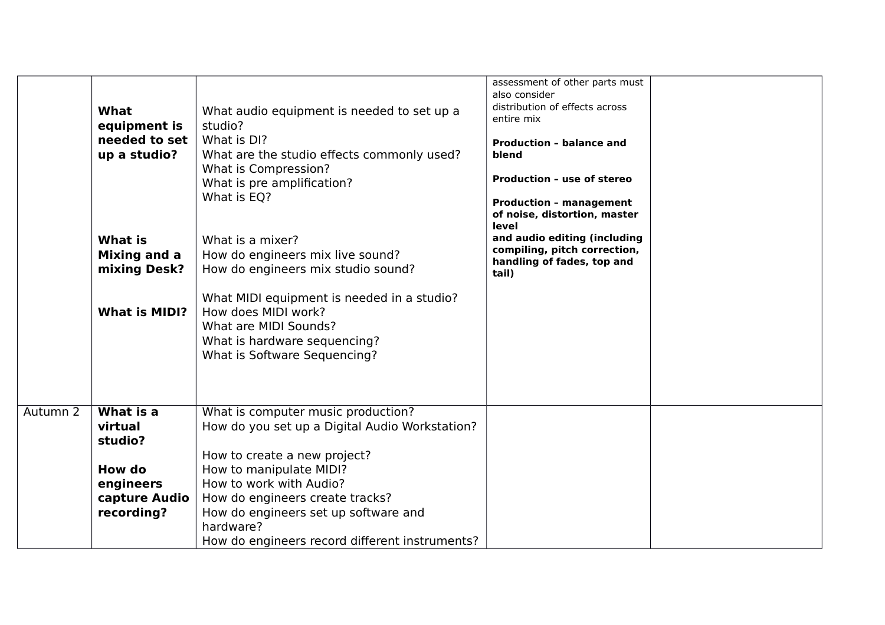|          | <b>What</b><br>equipment is<br>needed to set<br>up a studio?<br>What is<br><b>Mixing and a</b><br>mixing Desk?<br><b>What is MIDI?</b> | What audio equipment is needed to set up a<br>studio?<br>What is DI?<br>What are the studio effects commonly used?<br>What is Compression?<br>What is pre amplification?<br>What is EQ?<br>What is a mixer?<br>How do engineers mix live sound?<br>How do engineers mix studio sound?<br>What MIDI equipment is needed in a studio?<br>How does MIDI work?<br>What are MIDI Sounds?<br>What is hardware sequencing?<br>What is Software Sequencing? | assessment of other parts must<br>also consider<br>distribution of effects across<br>entire mix<br><b>Production - balance and</b><br>blend<br><b>Production - use of stereo</b><br><b>Production - management</b><br>of noise, distortion, master<br>level<br>and audio editing (including<br>compiling, pitch correction,<br>handling of fades, top and<br>tail) |  |
|----------|----------------------------------------------------------------------------------------------------------------------------------------|-----------------------------------------------------------------------------------------------------------------------------------------------------------------------------------------------------------------------------------------------------------------------------------------------------------------------------------------------------------------------------------------------------------------------------------------------------|--------------------------------------------------------------------------------------------------------------------------------------------------------------------------------------------------------------------------------------------------------------------------------------------------------------------------------------------------------------------|--|
| Autumn 2 | What is a<br>virtual<br>studio?                                                                                                        | What is computer music production?<br>How do you set up a Digital Audio Workstation?                                                                                                                                                                                                                                                                                                                                                                |                                                                                                                                                                                                                                                                                                                                                                    |  |
|          |                                                                                                                                        | How to create a new project?                                                                                                                                                                                                                                                                                                                                                                                                                        |                                                                                                                                                                                                                                                                                                                                                                    |  |
|          | How do                                                                                                                                 | How to manipulate MIDI?<br>How to work with Audio?                                                                                                                                                                                                                                                                                                                                                                                                  |                                                                                                                                                                                                                                                                                                                                                                    |  |
|          | engineers<br>capture Audio                                                                                                             | How do engineers create tracks?                                                                                                                                                                                                                                                                                                                                                                                                                     |                                                                                                                                                                                                                                                                                                                                                                    |  |
|          | recording?                                                                                                                             | How do engineers set up software and                                                                                                                                                                                                                                                                                                                                                                                                                |                                                                                                                                                                                                                                                                                                                                                                    |  |
|          |                                                                                                                                        | hardware?                                                                                                                                                                                                                                                                                                                                                                                                                                           |                                                                                                                                                                                                                                                                                                                                                                    |  |
|          |                                                                                                                                        | How do engineers record different instruments?                                                                                                                                                                                                                                                                                                                                                                                                      |                                                                                                                                                                                                                                                                                                                                                                    |  |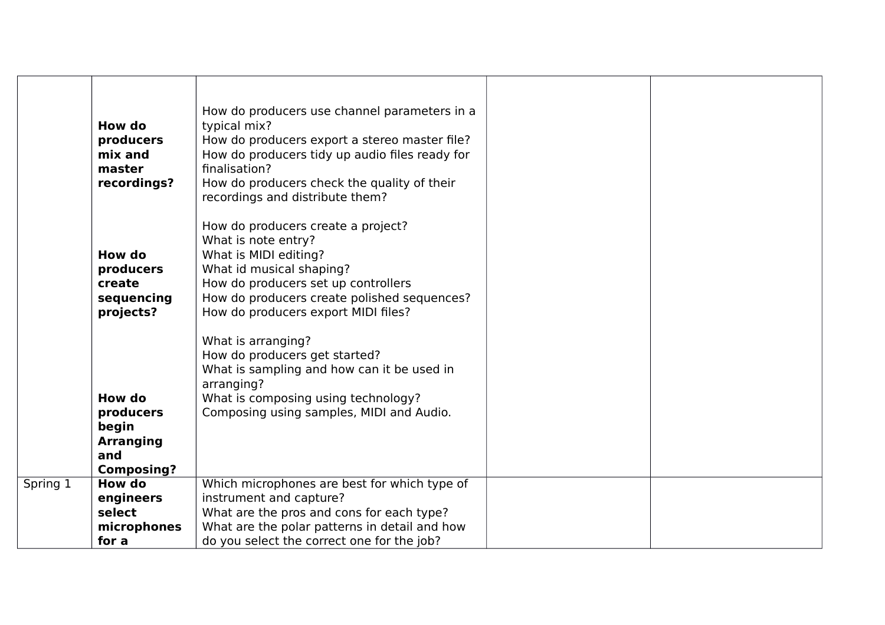|          | How do<br>producers<br>mix and<br>master<br>recordings?                      | How do producers use channel parameters in a<br>typical mix?<br>How do producers export a stereo master file?<br>How do producers tidy up audio files ready for<br>finalisation?<br>How do producers check the quality of their<br>recordings and distribute them? |  |
|----------|------------------------------------------------------------------------------|--------------------------------------------------------------------------------------------------------------------------------------------------------------------------------------------------------------------------------------------------------------------|--|
|          | How do<br>producers<br>create<br>sequencing<br>projects?                     | How do producers create a project?<br>What is note entry?<br>What is MIDI editing?<br>What id musical shaping?<br>How do producers set up controllers<br>How do producers create polished sequences?<br>How do producers export MIDI files?                        |  |
|          | How do<br>producers<br>begin<br><b>Arranging</b><br>and<br><b>Composing?</b> | What is arranging?<br>How do producers get started?<br>What is sampling and how can it be used in<br>arranging?<br>What is composing using technology?<br>Composing using samples, MIDI and Audio.                                                                 |  |
| Spring 1 | <b>How do</b><br>engineers<br>select<br>microphones<br>for a                 | Which microphones are best for which type of<br>instrument and capture?<br>What are the pros and cons for each type?<br>What are the polar patterns in detail and how<br>do you select the correct one for the job?                                                |  |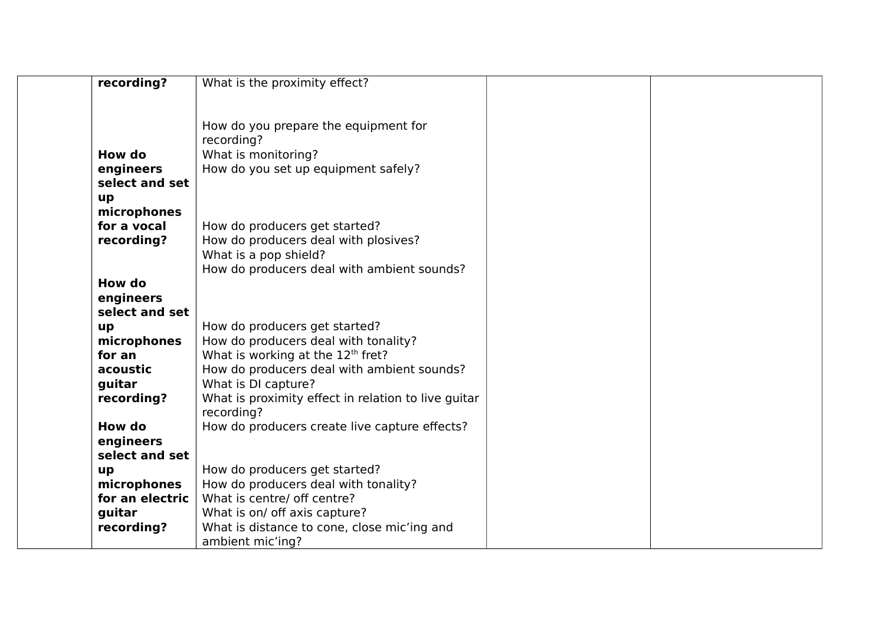| recording?      | What is the proximity effect?                       |  |
|-----------------|-----------------------------------------------------|--|
|                 |                                                     |  |
|                 |                                                     |  |
|                 | How do you prepare the equipment for                |  |
|                 | recording?                                          |  |
| How do          | What is monitoring?                                 |  |
| engineers       | How do you set up equipment safely?                 |  |
| select and set  |                                                     |  |
| up              |                                                     |  |
| microphones     |                                                     |  |
| for a vocal     | How do producers get started?                       |  |
| recording?      | How do producers deal with plosives?                |  |
|                 | What is a pop shield?                               |  |
|                 | How do producers deal with ambient sounds?          |  |
| How do          |                                                     |  |
| engineers       |                                                     |  |
| select and set  |                                                     |  |
| up              | How do producers get started?                       |  |
| microphones     | How do producers deal with tonality?                |  |
| for an          | What is working at the 12 <sup>th</sup> fret?       |  |
| acoustic        | How do producers deal with ambient sounds?          |  |
| quitar          | What is DI capture?                                 |  |
| recording?      | What is proximity effect in relation to live guitar |  |
|                 | recording?                                          |  |
| How do          | How do producers create live capture effects?       |  |
| engineers       |                                                     |  |
| select and set  |                                                     |  |
| up              | How do producers get started?                       |  |
| microphones     | How do producers deal with tonality?                |  |
| for an electric | What is centre/ off centre?                         |  |
| guitar          | What is on/ off axis capture?                       |  |
| recording?      | What is distance to cone, close mic'ing and         |  |
|                 | ambient mic'ing?                                    |  |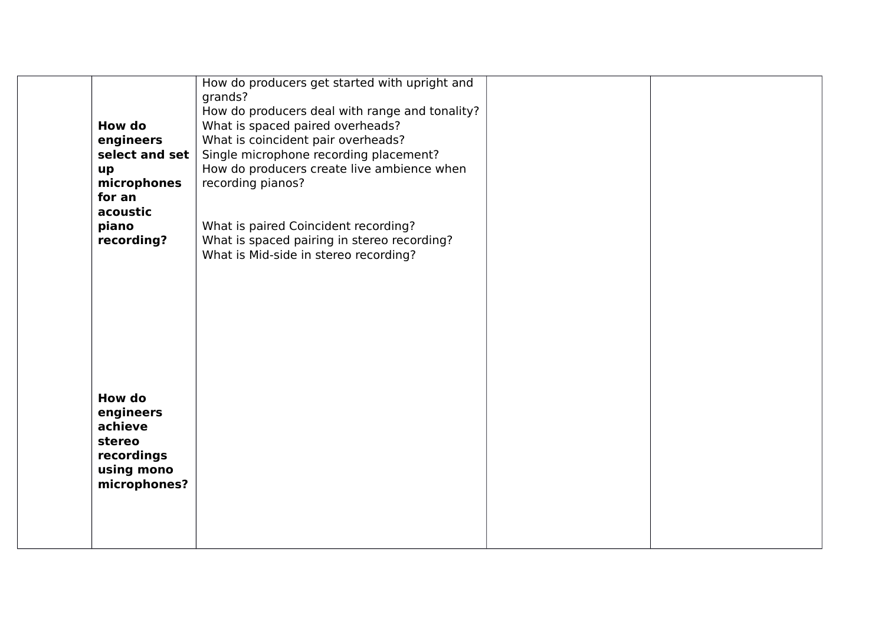| grands?<br>How do producers deal with range and tonality?<br>How do<br>What is spaced paired overheads?<br>What is coincident pair overheads?<br>engineers<br>select and set<br>Single microphone recording placement?<br>How do producers create live ambience when<br>up<br>recording pianos?<br>microphones<br>for an<br>acoustic<br>What is paired Coincident recording?<br>piano |
|---------------------------------------------------------------------------------------------------------------------------------------------------------------------------------------------------------------------------------------------------------------------------------------------------------------------------------------------------------------------------------------|
|                                                                                                                                                                                                                                                                                                                                                                                       |
|                                                                                                                                                                                                                                                                                                                                                                                       |
|                                                                                                                                                                                                                                                                                                                                                                                       |
|                                                                                                                                                                                                                                                                                                                                                                                       |
|                                                                                                                                                                                                                                                                                                                                                                                       |
|                                                                                                                                                                                                                                                                                                                                                                                       |
|                                                                                                                                                                                                                                                                                                                                                                                       |
|                                                                                                                                                                                                                                                                                                                                                                                       |
|                                                                                                                                                                                                                                                                                                                                                                                       |
| recording?<br>What is spaced pairing in stereo recording?<br>What is Mid-side in stereo recording?                                                                                                                                                                                                                                                                                    |
|                                                                                                                                                                                                                                                                                                                                                                                       |
|                                                                                                                                                                                                                                                                                                                                                                                       |
|                                                                                                                                                                                                                                                                                                                                                                                       |
|                                                                                                                                                                                                                                                                                                                                                                                       |
|                                                                                                                                                                                                                                                                                                                                                                                       |
|                                                                                                                                                                                                                                                                                                                                                                                       |
|                                                                                                                                                                                                                                                                                                                                                                                       |
|                                                                                                                                                                                                                                                                                                                                                                                       |
| <b>How do</b>                                                                                                                                                                                                                                                                                                                                                                         |
| engineers                                                                                                                                                                                                                                                                                                                                                                             |
| achieve                                                                                                                                                                                                                                                                                                                                                                               |
| stereo                                                                                                                                                                                                                                                                                                                                                                                |
| recordings                                                                                                                                                                                                                                                                                                                                                                            |
| using mono                                                                                                                                                                                                                                                                                                                                                                            |
| microphones?                                                                                                                                                                                                                                                                                                                                                                          |
|                                                                                                                                                                                                                                                                                                                                                                                       |
|                                                                                                                                                                                                                                                                                                                                                                                       |
|                                                                                                                                                                                                                                                                                                                                                                                       |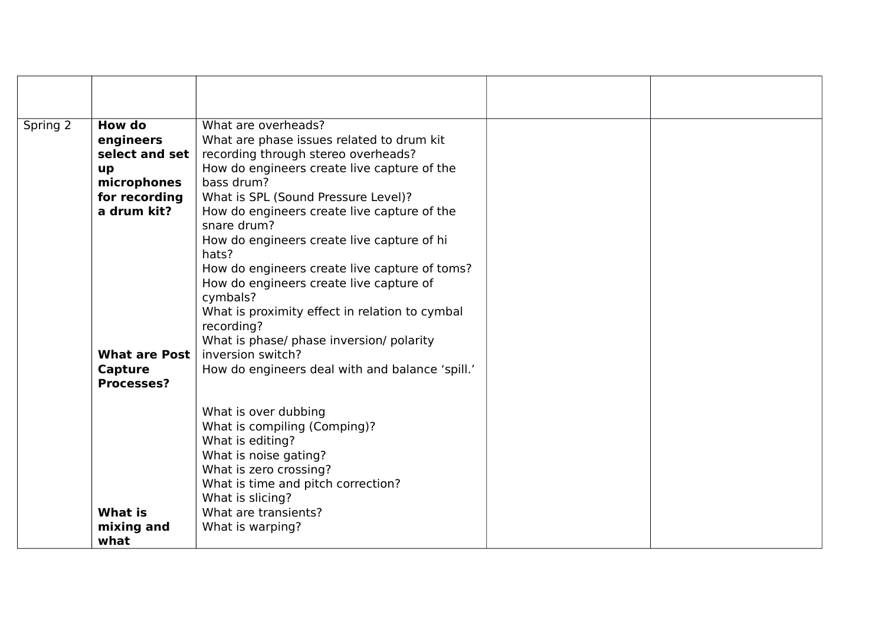| Spring 2 | How do               | What are overheads?                             |  |
|----------|----------------------|-------------------------------------------------|--|
|          | engineers            | What are phase issues related to drum kit       |  |
|          | select and set       | recording through stereo overheads?             |  |
|          | up                   | How do engineers create live capture of the     |  |
|          | microphones          | bass drum?                                      |  |
|          | for recording        | What is SPL (Sound Pressure Level)?             |  |
|          | a drum kit?          | How do engineers create live capture of the     |  |
|          |                      | snare drum?                                     |  |
|          |                      | How do engineers create live capture of hi      |  |
|          |                      | hats?                                           |  |
|          |                      | How do engineers create live capture of toms?   |  |
|          |                      | How do engineers create live capture of         |  |
|          |                      | cymbals?                                        |  |
|          |                      | What is proximity effect in relation to cymbal  |  |
|          |                      | recording?                                      |  |
|          |                      | What is phase/ phase inversion/ polarity        |  |
|          | <b>What are Post</b> | inversion switch?                               |  |
|          | Capture              | How do engineers deal with and balance 'spill.' |  |
|          | <b>Processes?</b>    |                                                 |  |
|          |                      |                                                 |  |
|          |                      | What is over dubbing                            |  |
|          |                      | What is compiling (Comping)?                    |  |
|          |                      | What is editing?                                |  |
|          |                      | What is noise gating?                           |  |
|          |                      | What is zero crossing?                          |  |
|          |                      | What is time and pitch correction?              |  |
|          |                      | What is slicing?                                |  |
|          | What is              | What are transients?                            |  |
|          | mixing and           | What is warping?                                |  |
|          | what                 |                                                 |  |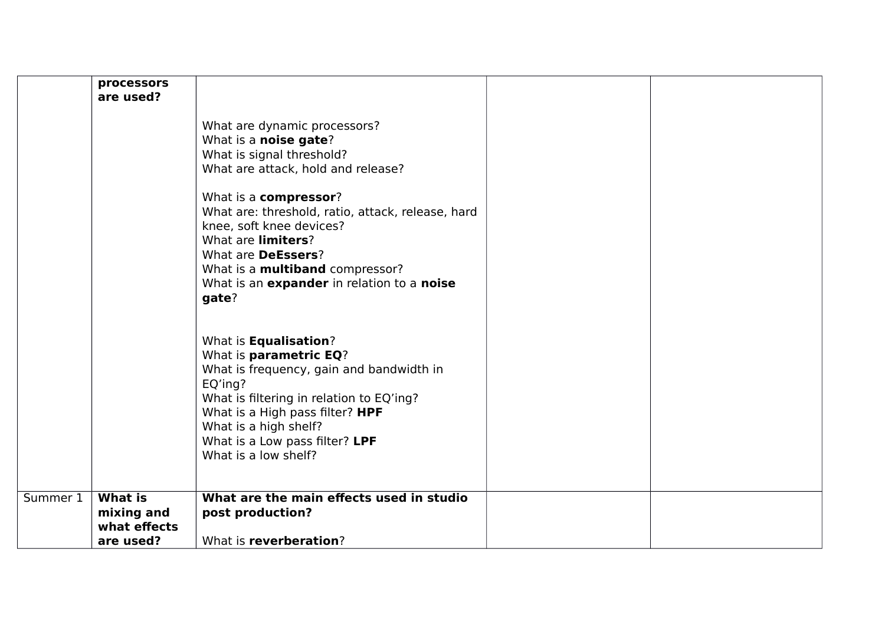|          | processors<br>are used?      |                                                                                                                                                                                                                                                                                                                                                                                         |  |
|----------|------------------------------|-----------------------------------------------------------------------------------------------------------------------------------------------------------------------------------------------------------------------------------------------------------------------------------------------------------------------------------------------------------------------------------------|--|
|          |                              | What are dynamic processors?<br>What is a noise gate?<br>What is signal threshold?<br>What are attack, hold and release?<br>What is a compressor?<br>What are: threshold, ratio, attack, release, hard<br>knee, soft knee devices?<br>What are limiters?<br>What are <b>DeEssers</b> ?<br>What is a <b>multiband</b> compressor?<br>What is an expander in relation to a noise<br>gate? |  |
|          |                              | What is <b>Equalisation</b> ?<br>What is parametric EQ?<br>What is frequency, gain and bandwidth in<br>EQ'ing?<br>What is filtering in relation to EQ'ing?<br>What is a High pass filter? HPF<br>What is a high shelf?<br>What is a Low pass filter? LPF<br>What is a low shelf?                                                                                                        |  |
| Summer 1 | <b>What is</b><br>mixing and | What are the main effects used in studio<br>post production?                                                                                                                                                                                                                                                                                                                            |  |
|          | what effects                 |                                                                                                                                                                                                                                                                                                                                                                                         |  |
|          | are used?                    | What is reverberation?                                                                                                                                                                                                                                                                                                                                                                  |  |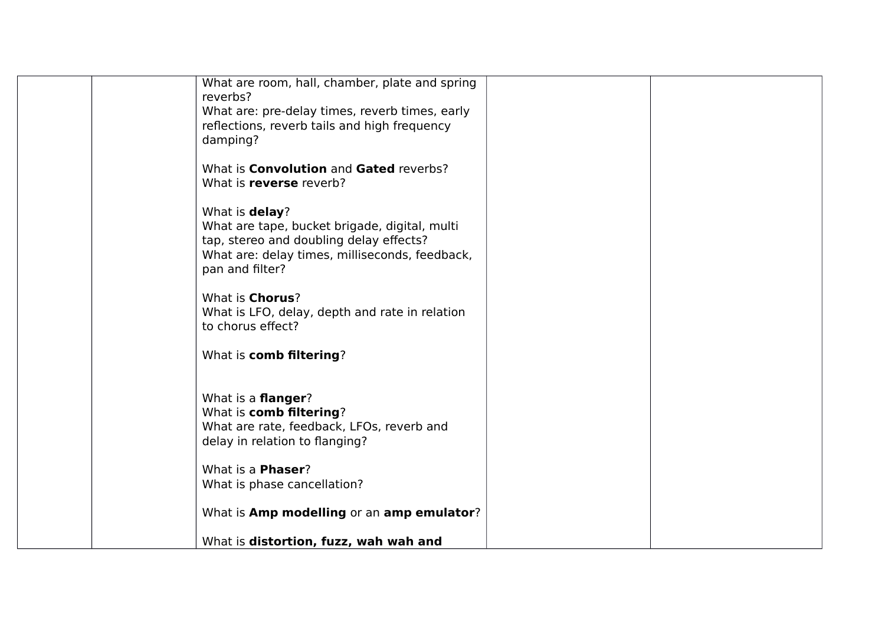| What are room, hall, chamber, plate and spring |
|------------------------------------------------|
|                                                |
| reverbs?                                       |
| What are: pre-delay times, reverb times, early |
| reflections, reverb tails and high frequency   |
| damping?                                       |
|                                                |
| What is <b>Convolution</b> and Gated reverbs?  |
| What is reverse reverb?                        |
|                                                |
|                                                |
| What is delay?                                 |
| What are tape, bucket brigade, digital, multi  |
| tap, stereo and doubling delay effects?        |
| What are: delay times, milliseconds, feedback, |
| pan and filter?                                |
|                                                |
| What is Chorus?                                |
|                                                |
| What is LFO, delay, depth and rate in relation |
| to chorus effect?                              |
|                                                |
| What is comb filtering?                        |
|                                                |
|                                                |
| What is a <b>flanger</b> ?                     |
| What is comb filtering?                        |
| What are rate, feedback, LFOs, reverb and      |
| delay in relation to flanging?                 |
|                                                |
| What is a <b>Phaser</b> ?                      |
| What is phase cancellation?                    |
|                                                |
| What is Amp modelling or an amp emulator?      |
|                                                |
| What is distortion, fuzz, wah wah and          |
|                                                |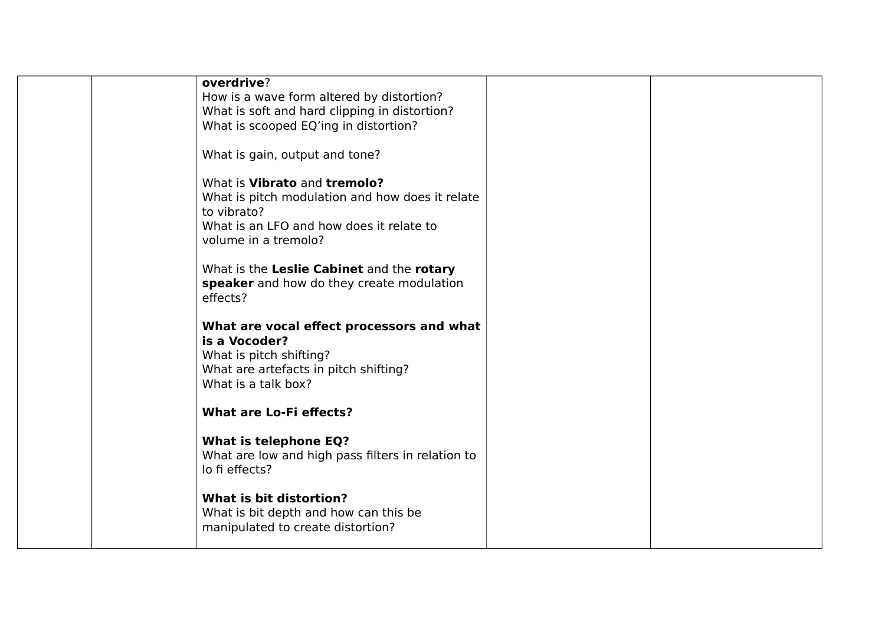|  | overdrive?                                                   |  |
|--|--------------------------------------------------------------|--|
|  | How is a wave form altered by distortion?                    |  |
|  | What is soft and hard clipping in distortion?                |  |
|  | What is scooped EQ'ing in distortion?                        |  |
|  |                                                              |  |
|  | What is gain, output and tone?                               |  |
|  | What is Vibrato and tremolo?                                 |  |
|  | What is pitch modulation and how does it relate              |  |
|  | to vibrato?                                                  |  |
|  | What is an LFO and how does it relate to                     |  |
|  | volume in a tremolo?                                         |  |
|  |                                                              |  |
|  | What is the Leslie Cabinet and the rotary                    |  |
|  | speaker and how do they create modulation                    |  |
|  | effects?                                                     |  |
|  |                                                              |  |
|  | What are vocal effect processors and what                    |  |
|  | is a Vocoder?                                                |  |
|  | What is pitch shifting?                                      |  |
|  | What are artefacts in pitch shifting?<br>What is a talk box? |  |
|  |                                                              |  |
|  | <b>What are Lo-Fi effects?</b>                               |  |
|  |                                                              |  |
|  | <b>What is telephone EQ?</b>                                 |  |
|  | What are low and high pass filters in relation to            |  |
|  | lo fi effects?                                               |  |
|  |                                                              |  |
|  | What is bit distortion?                                      |  |
|  | What is bit depth and how can this be                        |  |
|  | manipulated to create distortion?                            |  |
|  |                                                              |  |